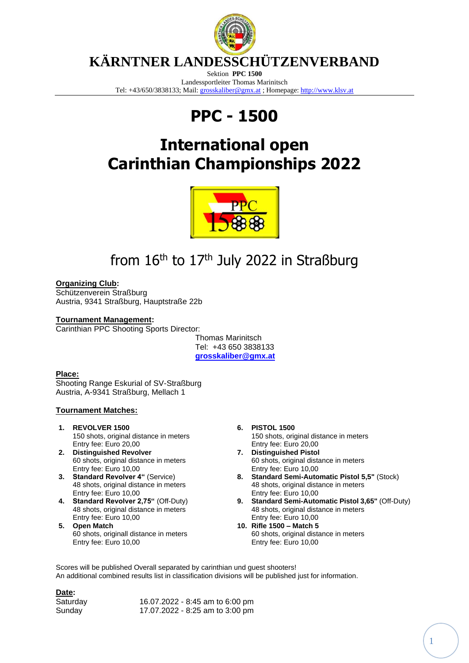

### **KÄRNTNER LANDESSCHÜTZENVERBAND**

Sektion **PPC 1500** Landessportleiter Thomas Marinitsch Tel: +43/650/3838133; Mail: [grosskaliber@gmx.at](mailto:grosskaliber@gmx.at) ; Homepage[: http://www.klsv.at](http://www.klsv.at/)

# **PPC - 1500**

## **International open Carinthian Championships 2022**



## from  $16<sup>th</sup>$  to  $17<sup>th</sup>$  July 2022 in Straßburg

**Organizing Club:**

Schützenverein Straßburg Austria, 9341 Straßburg, Hauptstraße 22b

**Tournament Management:**

Carinthian PPC Shooting Sports Director:

Thomas Marinitsch Tel: +43 650 3838133 **[grosskaliber@gmx.at](mailto:grosskaliber@gmx.at)**

#### **Place:**

Shooting Range Eskurial of SV-Straßburg Austria, A-9341 Straßburg, Mellach 1

#### **Tournament Matches:**

- **1. REVOLVER 1500** 150 shots, original distance in meters Entry fee: Euro 20,00
- **2. Distinguished Revolver** 60 shots, original distance in meters Entry fee: Euro 10,00
- **3. Standard Revolver 4"** (Service) 48 shots, original distance in meters Entry fee: Euro 10,00
- **4. Standard Revolver 2,75"** (Off-Duty) 48 shots, original distance in meters Entry fee: Euro 10,00
- **5. Open Match** 60 shots, originall distance in meters Entry fee: Euro 10,00
- **6. PISTOL 1500**
	- 150 shots, original distance in meters Entry fee: Euro 20,00
- **7. Distinguished Pistol** 60 shots, original distance in meters Entry fee: Euro 10,00
- **8. Standard Semi-Automatic Pistol 5,5"** (Stock) 48 shots, original distance in meters Entry fee: Euro 10,00
- **9. Standard Semi-Automatic Pistol 3,65"** (Off-Duty) 48 shots, original distance in meters Entry fee: Euro 10,00
- **10. Rifle 1500 – Match 5** 60 shots, original distance in meters Entry fee: Euro 10,00

Scores will be published Overall separated by carinthian und guest shooters! An additional combined results list in classification divisions will be published just for information.

**Date:** Saturday 16.07.2022 - 8:45 am to 6:00 pm Sunday 17.07.2022 - 8:25 am to 3:00 pm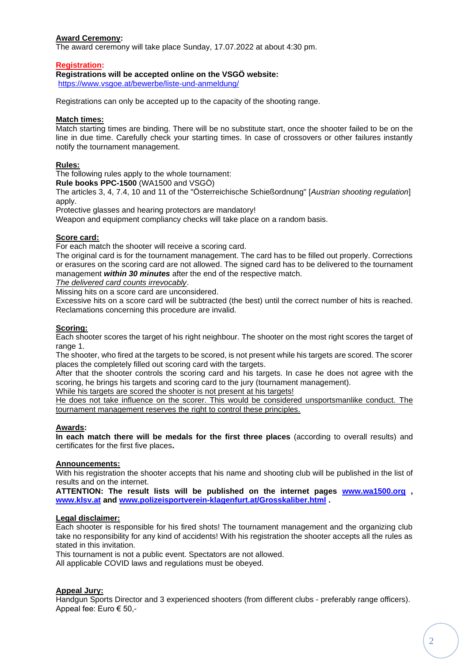#### **Award Ceremony:**

The award ceremony will take place Sunday, 17.07.2022 at about 4:30 pm.

#### **Registration:**

#### **Registrations will be accepted online on the VSGÖ website:**

<https://www.vsgoe.at/bewerbe/liste-und-anmeldung/>

Registrations can only be accepted up to the capacity of the shooting range.

#### **Match times:**

Match starting times are binding. There will be no substitute start, once the shooter failed to be on the line in due time. Carefully check your starting times. In case of crossovers or other failures instantly notify the tournament management.

#### **Rules:**

The following rules apply to the whole tournament:

**Rule books PPC-1500** (WA1500 and VSGÖ)

The articles 3, 4, 7.4, 10 and 11 of the "Österreichische Schießordnung" [*Austrian shooting regulation*] apply.

Protective glasses and hearing protectors are mandatory!

Weapon and equipment compliancy checks will take place on a random basis.

#### **Score card:**

For each match the shooter will receive a scoring card.

The original card is for the tournament management. The card has to be filled out properly. Corrections or erasures on the scoring card are not allowed. The signed card has to be delivered to the tournament management *within 30 minutes* after the end of the respective match.

*The delivered card counts irrevocably*.

Missing hits on a score card are unconsidered.

Excessive hits on a score card will be subtracted (the best) until the correct number of hits is reached. Reclamations concerning this procedure are invalid.

#### **Scoring:**

Each shooter scores the target of his right neighbour. The shooter on the most right scores the target of range 1.

The shooter, who fired at the targets to be scored, is not present while his targets are scored. The scorer places the completely filled out scoring card with the targets.

After that the shooter controls the scoring card and his targets. In case he does not agree with the scoring, he brings his targets and scoring card to the jury (tournament management).

While his targets are scored the shooter is not present at his targets!

He does not take influence on the scorer. This would be considered unsportsmanlike conduct. The tournament management reserves the right to control these principles.

#### **Awards:**

**In each match there will be medals for the first three places** (according to overall results) and certificates for the first five places**.**

#### **Announcements:**

With his registration the shooter accepts that his name and shooting club will be published in the list of results and on the internet.

**ATTENTION: The result lists will be published on the internet pages [www.wa1500.org](http://www.wa1500.org/) , [www.klsv.at](http://www.klsv.at/) and [www.polizeisportverein-klagenfurt.at/Grosskaliber.html](http://www.polizeisportverein-klagenfurt.at/Grosskaliber.html) .**

#### **Legal disclaimer:**

Each shooter is responsible for his fired shots! The tournament management and the organizing club take no responsibility for any kind of accidents! With his registration the shooter accepts all the rules as stated in this invitation.

This tournament is not a public event. Spectators are not allowed.

All applicable COVID laws and regulations must be obeyed.

#### **Appeal Jury:**

Handgun Sports Director and 3 experienced shooters (from different clubs - preferably range officers). Appeal fee: Euro € 50,-